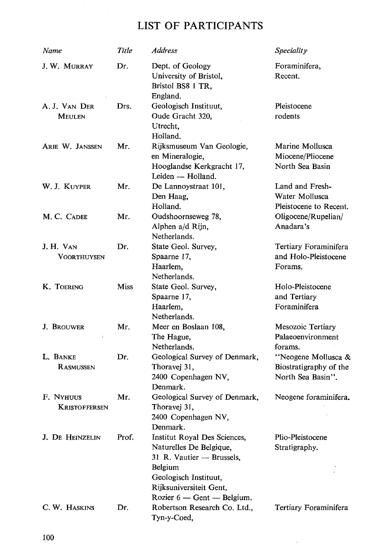## LIST OF PARTICIPANTS

| Name                       | Title | <b>Address</b>                                                                                                                                                                    | <b>Speciality</b>                                                  |
|----------------------------|-------|-----------------------------------------------------------------------------------------------------------------------------------------------------------------------------------|--------------------------------------------------------------------|
| J. W. MURRAY               | Dr.   | Dept. of Geology<br>University of Bristol,<br>Bristol BS8 1 TR,<br>England.                                                                                                       | Foraminifera,<br>Recent.                                           |
| A. J. Van Der<br>Meulen    | Drs.  | Geologisch Instituut,<br>Oude Gracht 320,<br>Utrecht,<br>Holland.                                                                                                                 | Pleistocene<br>rodents                                             |
| ARIE W. JANSSEN            | Mr.   | Rijksmuseum Van Geologie,<br>en Mineralogie,<br>Hooglandse Kerkgracht 17,<br>Leiden — Holland.                                                                                    | Marine Mollusca<br>Miocene/Pliocene<br>North Sea Basin             |
| W. J. KUYPER               | Mr.   | De Lannoystraat 101,<br>Den Haag,<br>Holland.                                                                                                                                     | Land and Fresh-<br>Water Mollusca<br>Pleistocene to Recent.        |
| M. C. CADEE                | Mr.   | Oudshoornseweg 78,<br>Alphen a/d Rijn,<br>Netherlands.                                                                                                                            | Oligocene/Rupelian/<br>Anadara's                                   |
| J. H. Van<br>VOORTHUYSEN   | Dr.   | State Geol. Survey,<br>Spaarne 17,<br>Haarlem,<br>Netherlands.                                                                                                                    | Tertiary Foraminifera<br>and Holo-Pleistocene<br>Forams.           |
| K. TOERING                 | Miss  | State Geol. Survey,<br>Spaarne 17,<br>Haarlem,<br>Netherlands.                                                                                                                    | Holo-Pleistocene<br>and Tertiary<br>Foraminifera                   |
| <b>J. BROUWER</b>          | Mr.   | Meer en Boslaan 108,<br>The Hague,<br>Netherlands.                                                                                                                                | Mesozoic Tertiary<br>Palaeoenvironment<br>forams.                  |
| L. BANKE<br>RASMUSSEN      | Dr.   | Geological Survey of Denmark,<br>Thoravej 31,<br>2400 Copenhagen NV,<br>Denmark.                                                                                                  | "Neogene Mollusca &<br>Biostratigraphy of the<br>North Sea Basin". |
| F. NYHUUS<br>KRISTOFFERSEN | Mr.   | Geological Survey of Denmark,<br>Thoravej 31,<br>2400 Copenhagen NV,<br>Denmark.                                                                                                  | Neogene foraminifera.                                              |
| <b>J. DE HEINZELIN</b>     | Prof. | Institut Royal Des Sciences,<br>Naturelles De Belgique,<br>31 R. Vautier - Brussels,<br>Belgium<br>Geologisch Instituut,<br>Rijksuniversiteit Gent,<br>Rozier 6 - Gent - Belgium. | Plio-Pleistocene<br>Stratigraphy.                                  |
| C. W. HASKINS              | Dr.   | Robertson Research Co. Ltd.,<br>Tyn-y-Coed,                                                                                                                                       | Tertiary Foraminifera                                              |

 $\alpha$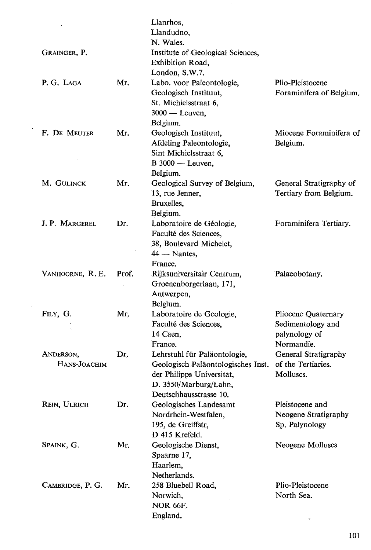|                           |       | Llanrhos.<br>Llandudno,<br>N. Wales.                                                                                                               |                                                                         |
|---------------------------|-------|----------------------------------------------------------------------------------------------------------------------------------------------------|-------------------------------------------------------------------------|
| GRAINGER, P.              |       | Institute of Geological Sciences,<br>Exhibition Road,<br>London, S.W.7.                                                                            |                                                                         |
| P. G. LAGA                | Mr.   | Labo. voor Paleontologie,<br>Geologisch Instituut,<br>St. Michielsstraat 6,<br>$3000 - Leuven,$<br>Belgium.                                        | Plio-Pleistocene<br>Foraminifera of Belgium.                            |
| F. DE MEUTER              | Mr.   | Geologisch Instituut,<br>Afdeling Paleontologie,<br>Sint Michielsstraat 6,<br>$B$ 3000 - Leuven,<br>Belgium.                                       | Miocene Foraminifera of<br>Belgium.                                     |
| M. GULINCK                | Mr.   | Geological Survey of Belgium,<br>13, rue Jenner,<br>Bruxelles,<br>Belgium.                                                                         | General Stratigraphy of<br>Tertiary from Belgium.                       |
| J. P. MARGEREL            | Dr.   | Laboratoire de Géologie,<br>Faculté des Sciences.<br>38, Boulevard Michelet,<br>$44$ — Nantes,<br>France.                                          | Foraminifera Tertiary.                                                  |
| VANHOORNE, R.E.           | Prof. | Rijksuniversitair Centrum,<br>Groenenborgerlaan, 171,<br>Antwerpen,<br>Belgium.                                                                    | Palaeobotany.                                                           |
| FILY, G.                  | Mr.   | Laboratoire de Geologie,<br>Faculté des Sciences,<br>14 Caen,<br>France.                                                                           | Pliocene Quaternary<br>Sedimentology and<br>palynology of<br>Normandie. |
| ANDERSON,<br>Hans-Joachim | Dr.   | Lehrstuhl für Paläontologie,<br>Geologisch Paläontologisches Inst.<br>der Philipps Universitat,<br>D. 3550/Marburg/Lahn,<br>Deutschhausstrasse 10. | General Stratigraphy<br>of the Tertiaries.<br>Molluscs.                 |
| <b>REIN, ULRICH</b>       | Dr.   | Geologisches Landesamt<br>Nordrhein-Westfalen,<br>195, de Greiffstr,<br>D 415 Krefeld.                                                             | Pleistocene and<br>Neogene Stratigraphy<br>Sp. Palynology               |
| SPAINK, G.                | Mr.   | Geologische Dienst,<br>Spaarne 17,<br>Haarlem,<br>Netherlands.                                                                                     | Neogene Molluscs                                                        |
| CAMBRIDGE, P. G.          | Mr.   | 258 Bluebell Road,<br>Norwich,<br><b>NOR 66F.</b><br>England.                                                                                      | Plio-Pleistocene<br>North Sea.                                          |